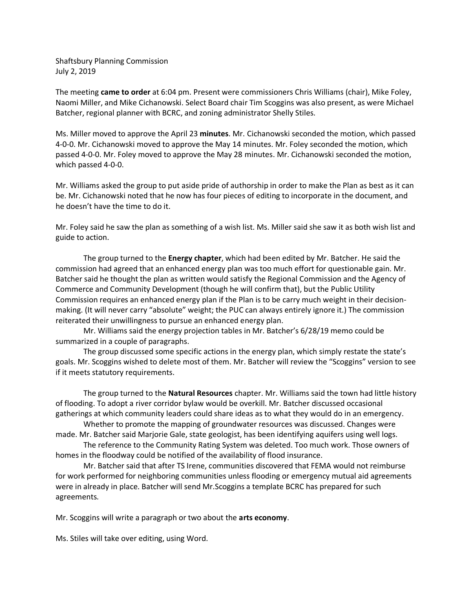Shaftsbury Planning Commission July 2, 2019

The meeting came to order at 6:04 pm. Present were commissioners Chris Williams (chair), Mike Foley, Naomi Miller, and Mike Cichanowski. Select Board chair Tim Scoggins was also present, as were Michael Batcher, regional planner with BCRC, and zoning administrator Shelly Stiles.

Ms. Miller moved to approve the April 23 minutes. Mr. Cichanowski seconded the motion, which passed 4-0-0. Mr. Cichanowski moved to approve the May 14 minutes. Mr. Foley seconded the motion, which passed 4-0-0. Mr. Foley moved to approve the May 28 minutes. Mr. Cichanowski seconded the motion, which passed 4-0-0.

Mr. Williams asked the group to put aside pride of authorship in order to make the Plan as best as it can be. Mr. Cichanowski noted that he now has four pieces of editing to incorporate in the document, and he doesn't have the time to do it.

Mr. Foley said he saw the plan as something of a wish list. Ms. Miller said she saw it as both wish list and guide to action.

The group turned to the **Energy chapter**, which had been edited by Mr. Batcher. He said the commission had agreed that an enhanced energy plan was too much effort for questionable gain. Mr. Batcher said he thought the plan as written would satisfy the Regional Commission and the Agency of Commerce and Community Development (though he will confirm that), but the Public Utility Commission requires an enhanced energy plan if the Plan is to be carry much weight in their decisionmaking. (It will never carry "absolute" weight; the PUC can always entirely ignore it.) The commission reiterated their unwillingness to pursue an enhanced energy plan.

Mr. Williams said the energy projection tables in Mr. Batcher's 6/28/19 memo could be summarized in a couple of paragraphs.

The group discussed some specific actions in the energy plan, which simply restate the state's goals. Mr. Scoggins wished to delete most of them. Mr. Batcher will review the "Scoggins" version to see if it meets statutory requirements.

The group turned to the **Natural Resources** chapter. Mr. Williams said the town had little history of flooding. To adopt a river corridor bylaw would be overkill. Mr. Batcher discussed occasional gatherings at which community leaders could share ideas as to what they would do in an emergency.

Whether to promote the mapping of groundwater resources was discussed. Changes were made. Mr. Batcher said Marjorie Gale, state geologist, has been identifying aquifers using well logs.

The reference to the Community Rating System was deleted. Too much work. Those owners of homes in the floodway could be notified of the availability of flood insurance.

Mr. Batcher said that after TS Irene, communities discovered that FEMA would not reimburse for work performed for neighboring communities unless flooding or emergency mutual aid agreements were in already in place. Batcher will send Mr.Scoggins a template BCRC has prepared for such agreements.

Mr. Scoggins will write a paragraph or two about the arts economy.

Ms. Stiles will take over editing, using Word.